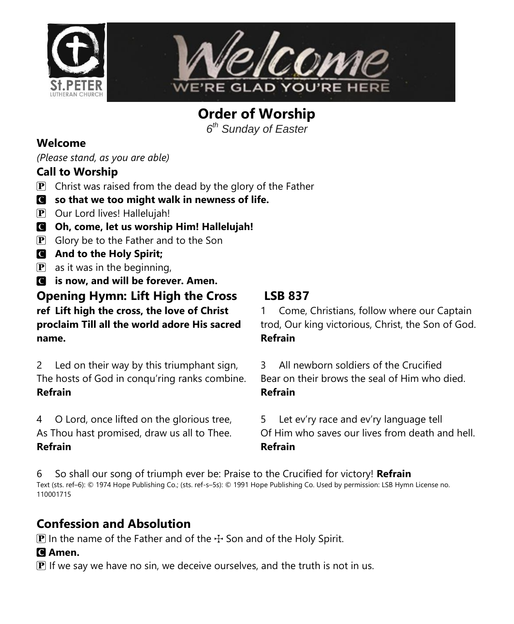



**Order of Worship**

*6 th Sunday of Easter*

#### **Welcome**

*(Please stand, as you are able)*

#### **Call to Worship**

- **P** Christ was raised from the dead by the glory of the Father
- C **so that we too might walk in newness of life.**
- P Our Lord lives! Hallelujah!
- C **Oh, come, let us worship Him! Hallelujah!**
- $\mathbf{P}$  Glory be to the Father and to the Son
- C **And to the Holy Spirit;**
- $\left| \mathbf{P} \right|$  as it was in the beginning,

C **is now, and will be forever. Amen. Opening Hymn: Lift High the Cross LSB 837 ref Lift high the cross, the love of Christ proclaim Till all the world adore His sacred name.**

2 Led on their way by this triumphant sign, The hosts of God in conqu'ring ranks combine. **Refrain**

4 O Lord, once lifted on the glorious tree, As Thou hast promised, draw us all to Thee. **Refrain**

1 Come, Christians, follow where our Captain trod, Our king victorious, Christ, the Son of God. **Refrain**

3 All newborn soldiers of the Crucified Bear on their brows the seal of Him who died. **Refrain**

5 Let ev'ry race and ev'ry language tell Of Him who saves our lives from death and hell. **Refrain**

6 So shall our song of triumph ever be: Praise to the Crucified for victory! **Refrain** Text (sts. ref–6): © 1974 Hope Publishing Co.; (sts. ref-s–5s): © 1991 Hope Publishing Co. Used by permission: LSB Hymn License no. 110001715

# **Confession and Absolution**

 $\mathbf{P}$  In the name of the Father and of the  $\div$  Son and of the Holy Spirit.

#### C **Amen.**

 $\mathbf{P}$  If we say we have no sin, we deceive ourselves, and the truth is not in us.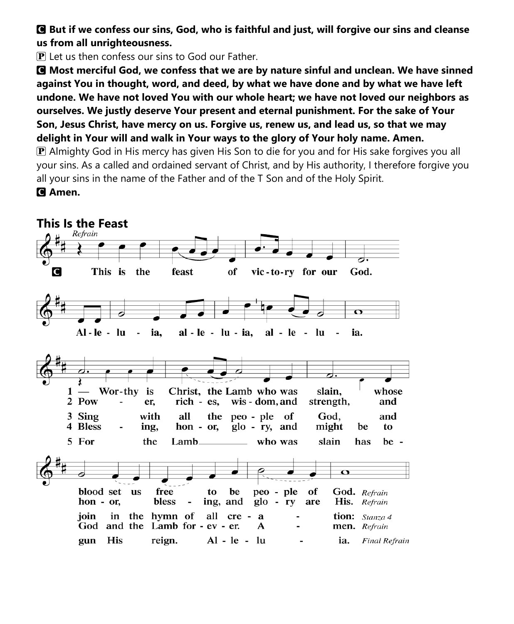C **But if we confess our sins, God, who is faithful and just, will forgive our sins and cleanse us from all unrighteousness.**

 $\bf{P}$  Let us then confess our sins to God our Father.

C **Most merciful God, we confess that we are by nature sinful and unclean. We have sinned against You in thought, word, and deed, by what we have done and by what we have left undone. We have not loved You with our whole heart; we have not loved our neighbors as ourselves. We justly deserve Your present and eternal punishment. For the sake of Your Son, Jesus Christ, have mercy on us. Forgive us, renew us, and lead us, so that we may delight in Your will and walk in Your ways to the glory of Your holy name. Amen.**

P Almighty God in His mercy has given His Son to die for you and for His sake forgives you all your sins. As a called and ordained servant of Christ, and by His authority, I therefore forgive you all your sins in the name of the Father and of the T Son and of the Holy Spirit. C **Amen.**

**This Is the Feast**C This is the feast of vic-to-ry for our God.  $\Omega$  $Al-le - lu$  $\sim$ ia. al - le - lu - ia,  $al - le - lu$ ia. Wor-thy Christ, the Lamb who was slain, whose  $1$ is 2 Pow er, rich - es, wis - dom, and strength, and 3 Sing with all the peo - ple of God, and 4 Bless ing, hon - or,  $g$ lo - ry, and might be to 5 For the Lambwho was slain has be - $\mathbf o$ blood set **us** free to be peo - ple of God. Refrain bless hon - or, ing, and  $g$ lo - ry His. Refrain are ioin in the hymn of all cre a tion: Stanza 4 God and the Lamb for - ev - er. A men. Refrain His reign.  $Al - le - lu$ gun ia. **Final Refrain**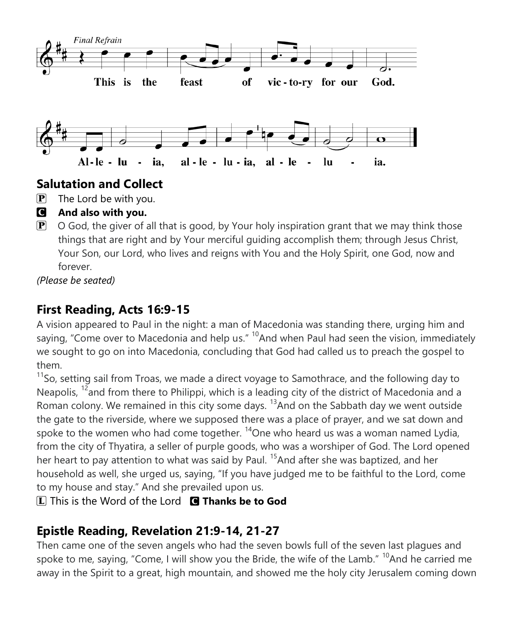

## **Salutation and Collect**

- $\left| \mathbf{P} \right|$  The Lord be with you.
- C **And also with you.**
- $\mathbf{P}$  O God, the giver of all that is good, by Your holy inspiration grant that we may think those things that are right and by Your merciful guiding accomplish them; through Jesus Christ, Your Son, our Lord, who lives and reigns with You and the Holy Spirit, one God, now and forever.

*(Please be seated)*

# **First Reading, Acts 16:9-15**

A vision appeared to Paul in the night: a man of Macedonia was standing there, urging him and saying, "Come over to Macedonia and help us."  $10A$ nd when Paul had seen the vision, immediately we sought to go on into Macedonia, concluding that God had called us to preach the gospel to them.

 $11$ So, setting sail from Troas, we made a direct voyage to Samothrace, and the following day to Neapolis,  $12$  and from there to Philippi, which is a leading city of the district of Macedonia and a Roman colony. We remained in this city some days.  $13$ And on the Sabbath day we went outside the gate to the riverside, where we supposed there was a place of prayer, and we sat down and spoke to the women who had come together.  $\frac{14}{2}$ One who heard us was a woman named Lydia, from the city of Thyatira, a seller of purple goods, who was a worshiper of God. The Lord opened her heart to pay attention to what was said by Paul. <sup>15</sup> And after she was baptized, and her household as well, she urged us, saying, "If you have judged me to be faithful to the Lord, come to my house and stay." And she prevailed upon us.

L This is the Word of the Lord C **Thanks be to God**

# **Epistle Reading, Revelation 21:9-14, 21-27**

Then came one of the seven angels who had the seven bowls full of the seven last plagues and spoke to me, saying, "Come, I will show you the Bride, the wife of the Lamb."  $^{10}$ And he carried me away in the Spirit to a great, high mountain, and showed me the holy city Jerusalem coming down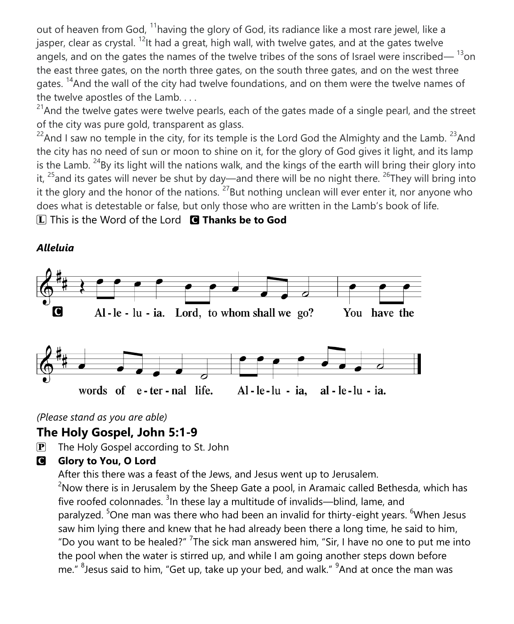out of heaven from God, <sup>11</sup>having the glory of God, its radiance like a most rare jewel, like a jasper, clear as crystal.  $^{12}$ It had a great, high wall, with twelve gates, and at the gates twelve angels, and on the gates the names of the twelve tribes of the sons of Israel were inscribed—  $^{13}$ on the east three gates, on the north three gates, on the south three gates, and on the west three gates. <sup>14</sup>And the wall of the city had twelve foundations, and on them were the twelve names of the twelve apostles of the Lamb. . . .

 $^{21}$ And the twelve gates were twelve pearls, each of the gates made of a single pearl, and the street of the city was pure gold, transparent as glass.

 $^{22}$ And I saw no temple in the city, for its temple is the Lord God the Almighty and the Lamb.  $^{23}$ And the city has no need of sun or moon to shine on it, for the glory of God gives it light, and its lamp is the Lamb.  $^{24}$ By its light will the nations walk, and the kings of the earth will bring their glory into it,  $^{25}$  and its gates will never be shut by day—and there will be no night there.  $^{26}$ They will bring into it the glory and the honor of the nations.  $^{27}$ But nothing unclean will ever enter it, nor anyone who does what is detestable or false, but only those who are written in the Lamb's book of life.

L This is the Word of the Lord C **Thanks be to God**



#### *Alleluia*

*(Please stand as you are able)*

#### **The Holy Gospel, John 5:1-9**

 $\overline{P}$  The Holy Gospel according to St. John

#### **G** Glory to You, O Lord

After this there was a feast of the Jews, and Jesus went up to Jerusalem.

 $2N$ ow there is in Jerusalem by the Sheep Gate a pool, in Aramaic called Bethesda, which has five roofed colonnades. <sup>3</sup>In these lay a multitude of invalids—blind, lame, and paralyzed. <sup>5</sup>One man was there who had been an invalid for thirty-eight years. <sup>6</sup>When Jesus saw him lying there and knew that he had already been there a long time, he said to him, "Do you want to be healed?" <sup>7</sup>The sick man answered him, "Sir, I have no one to put me into the pool when the water is stirred up, and while I am going another steps down before me." <sup>8</sup> Jesus said to him, "Get up, take up your bed, and walk." <sup>9</sup> And at once the man was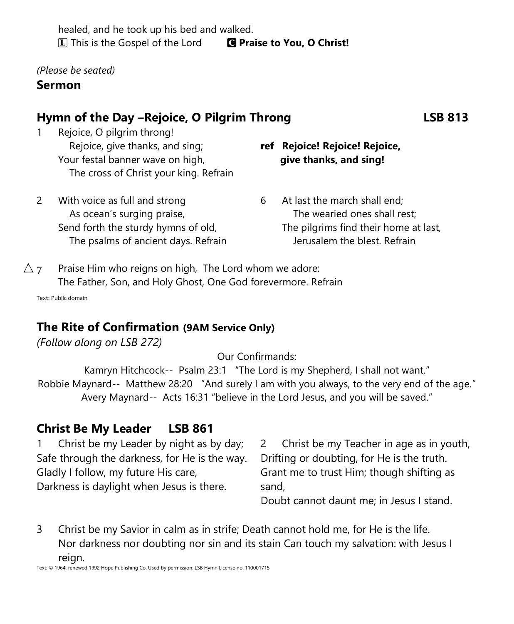healed, and he took up his bed and walked. L This is the Gospel of the Lord C **Praise to You, O Christ!**

*(Please be seated)*

#### **Sermon**

## **Hymn of the Day –Rejoice, O Pilgrim Throng LSB 813**

1 Rejoice, O pilgrim throng! Rejoice, give thanks, and sing; Your festal banner wave on high, The cross of Christ your king. Refrain

#### **ref Rejoice! Rejoice! Rejoice, give thanks, and sing!**

- 2 With voice as full and strong As ocean's surging praise, Send forth the sturdy hymns of old, The psalms of ancient days. Refrain
- 6 At last the march shall end; The wearied ones shall rest; The pilgrims find their home at last, Jerusalem the blest. Refrain
- $\Delta$  7 Praise Him who reigns on high, The Lord whom we adore: The Father, Son, and Holy Ghost, One God forevermore. Refrain

Text: Public domain

#### **The Rite of Confirmation (9AM Service Only)**

*(Follow along on LSB 272)*

Our Confirmands:

Kamryn Hitchcock-- Psalm 23:1 "The Lord is my Shepherd, I shall not want." Robbie Maynard-- Matthew 28:20 "And surely I am with you always, to the very end of the age." Avery Maynard-- Acts 16:31 "believe in the Lord Jesus, and you will be saved."

#### **Christ Be My Leader LSB 861**

1 Christ be my Leader by night as by day; Safe through the darkness, for He is the way. Gladly I follow, my future His care, Darkness is daylight when Jesus is there.

2 Christ be my Teacher in age as in youth, Drifting or doubting, for He is the truth. Grant me to trust Him; though shifting as sand,

Doubt cannot daunt me; in Jesus I stand.

3 Christ be my Savior in calm as in strife; Death cannot hold me, for He is the life. Nor darkness nor doubting nor sin and its stain Can touch my salvation: with Jesus I reign.

Text: © 1964, renewed 1992 Hope Publishing Co. Used by permission: LSB Hymn License no. 110001715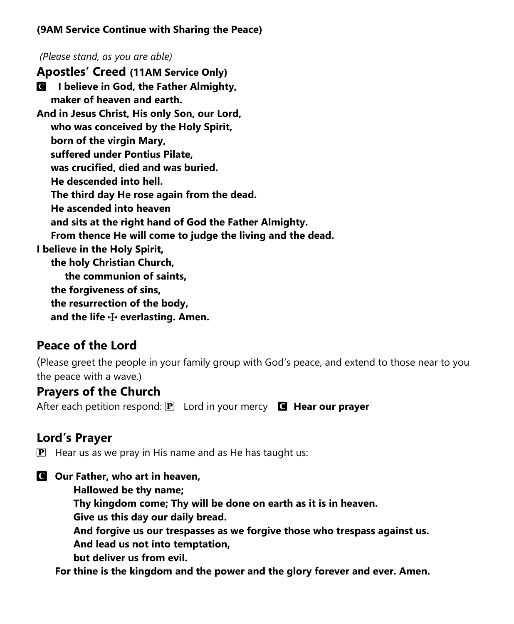#### **(9AM Service Continue with Sharing the Peace)**

*(Please stand, as you are able)* **Apostles' Creed (11AM Service Only)** C **I believe in God, the Father Almighty, maker of heaven and earth. And in Jesus Christ, His only Son, our Lord, who was conceived by the Holy Spirit, born of the virgin Mary, suffered under Pontius Pilate, was crucified, died and was buried. He descended into hell. The third day He rose again from the dead. He ascended into heaven and sits at the right hand of God the Father Almighty. From thence He will come to judge the living and the dead. I believe in the Holy Spirit, the holy Christian Church, the communion of saints, the forgiveness of sins, the resurrection of the body, and the life** T **everlasting. Amen.**

# **Peace of the Lord**

(Please greet the people in your family group with God's peace, and extend to those near to you the peace with a wave.)

#### **Prayers of the Church**

After each petition respond: **P** Lord in your mercy **C** Hear our prayer

# **Lord's Prayer**

 $\mathbf{P}$  Hear us as we pray in His name and as He has taught us:

C **Our Father, who art in heaven, Hallowed be thy name; Thy kingdom come; Thy will be done on earth as it is in heaven. Give us this day our daily bread. And forgive us our trespasses as we forgive those who trespass against us. And lead us not into temptation, but deliver us from evil. For thine is the kingdom and the power and the glory forever and ever. Amen.**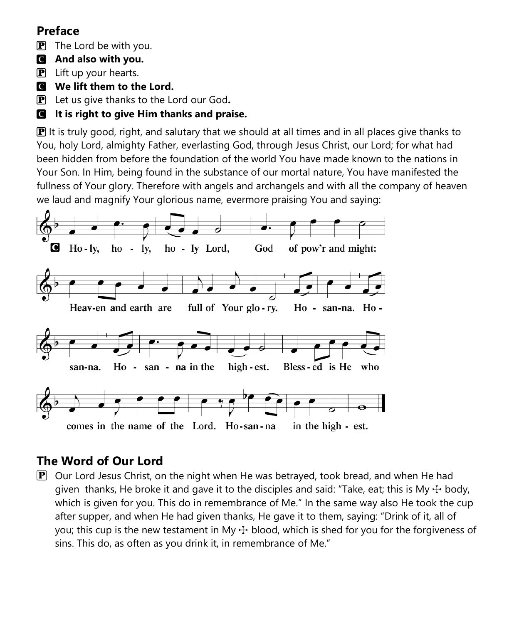# **Preface**

 $\mathbf{P}$  The Lord be with you.

- C **And also with you.**
- $\mathbf{P}$  Lift up your hearts.
- C **We lift them to the Lord.**

P Let us give thanks to the Lord our God**.**

## C **It is right to give Him thanks and praise.**

 $\mathbb{P}$  It is truly good, right, and salutary that we should at all times and in all places give thanks to You, holy Lord, almighty Father, everlasting God, through Jesus Christ, our Lord; for what had been hidden from before the foundation of the world You have made known to the nations in Your Son. In Him, being found in the substance of our mortal nature, You have manifested the fullness of Your glory. Therefore with angels and archangels and with all the company of heaven we laud and magnify Your glorious name, evermore praising You and saying:



# **The Word of Our Lord**

 $\mathbf{P}$  Our Lord Jesus Christ, on the night when He was betrayed, took bread, and when He had given thanks, He broke it and gave it to the disciples and said: "Take, eat; this is My  $\pm$  body, which is given for you. This do in remembrance of Me." In the same way also He took the cup after supper, and when He had given thanks, He gave it to them, saying: "Drink of it, all of you; this cup is the new testament in My  $\pm$  blood, which is shed for you for the forgiveness of sins. This do, as often as you drink it, in remembrance of Me."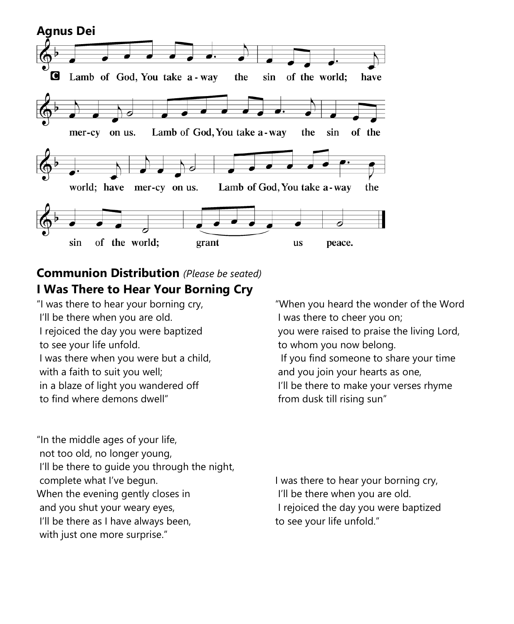

# **Communion Distribution** *(Please be seated)* **I Was There to Hear Your Borning Cry**

"I was there to hear your borning cry, I'll be there when you are old. I rejoiced the day you were baptized to see your life unfold. I was there when you were but a child, with a faith to suit you well; in a blaze of light you wandered off to find where demons dwell"

"When you heard the wonder of the Word I was there to cheer you on; you were raised to praise the living Lord, to whom you now belong. If you find someone to share your time and you join your hearts as one, I'll be there to make your verses rhyme from dusk till rising sun"

"In the middle ages of your life, not too old, no longer young, I'll be there to guide you through the night, complete what I've begun. When the evening gently closes in and you shut your weary eyes, I'll be there as I have always been, with just one more surprise."

I was there to hear your borning cry, I'll be there when you are old. I rejoiced the day you were baptized to see your life unfold."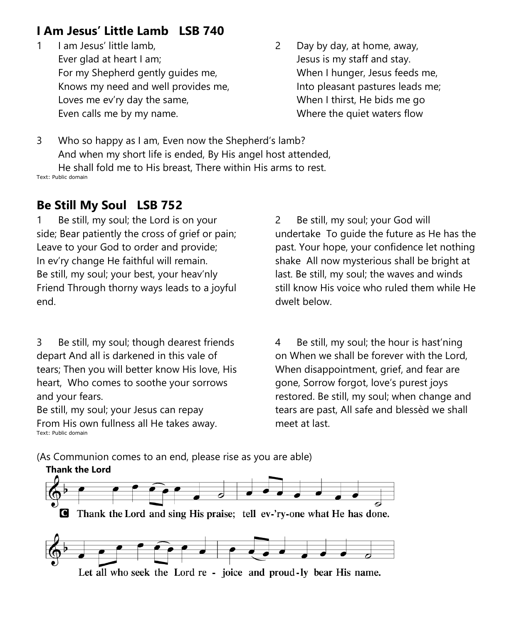# **I Am Jesus' Little Lamb LSB 740**

- 1 I am Jesus' little lamb. Ever glad at heart I am; For my Shepherd gently guides me, Knows my need and well provides me, Loves me ev'ry day the same, Even calls me by my name.
- 2 Day by day, at home, away, Jesus is my staff and stay. When I hunger, Jesus feeds me, Into pleasant pastures leads me; When I thirst, He bids me go Where the quiet waters flow

3 Who so happy as I am, Even now the Shepherd's lamb? And when my short life is ended, By His angel host attended, He shall fold me to His breast, There within His arms to rest. Text: Public domain

## **Be Still My Soul LSB 752**

1 Be still, my soul; the Lord is on your side; Bear patiently the cross of grief or pain; Leave to your God to order and provide; In ev'ry change He faithful will remain. Be still, my soul; your best, your heav'nly Friend Through thorny ways leads to a joyful end.

3 Be still, my soul; though dearest friends depart And all is darkened in this vale of tears; Then you will better know His love, His heart, Who comes to soothe your sorrows and your fears.

Be still, my soul; your Jesus can repay From His own fullness all He takes away. Text: Public domain

2 Be still, my soul; your God will undertake To guide the future as He has the past. Your hope, your confidence let nothing shake All now mysterious shall be bright at last. Be still, my soul; the waves and winds still know His voice who ruled them while He dwelt below.

4 Be still, my soul; the hour is hast'ning on When we shall be forever with the Lord, When disappointment, grief, and fear are gone, Sorrow forgot, love's purest joys restored. Be still, my soul; when change and tears are past, All safe and blessèd we shall meet at last.

(As Communion comes to an end, please rise as you are able)

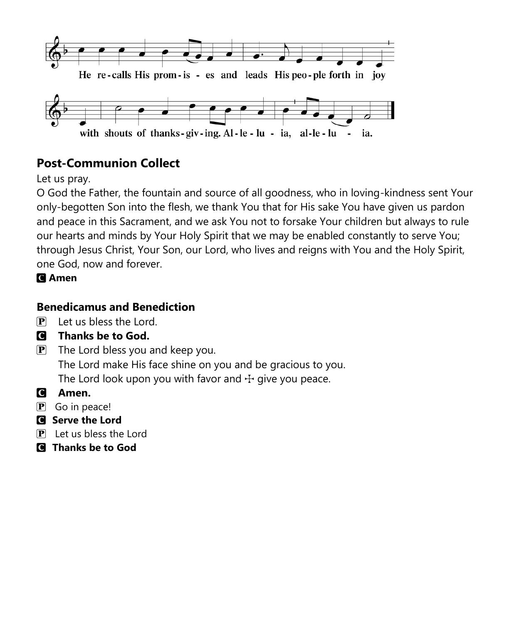

# **Post-Communion Collect**

Let us pray.

O God the Father, the fountain and source of all goodness, who in loving-kindness sent Your only-begotten Son into the flesh, we thank You that for His sake You have given us pardon and peace in this Sacrament, and we ask You not to forsake Your children but always to rule our hearts and minds by Your Holy Spirit that we may be enabled constantly to serve You; through Jesus Christ, Your Son, our Lord, who lives and reigns with You and the Holy Spirit, one God, now and forever.

## C **Amen**

## **Benedicamus and Benediction**

- $\overline{P}$  Let us bless the Lord.
- C **Thanks be to God.**
- $\mathbf{P}$  The Lord bless you and keep you. The Lord make His face shine on you and be gracious to you. The Lord look upon you with favor and  $\pm$  give you peace.
- C **Amen.**
- $\left| \mathbf{P} \right|$  Go in peace!
- C **Serve the Lord**
- $\overline{P}$  Let us bless the Lord
- C **Thanks be to God**